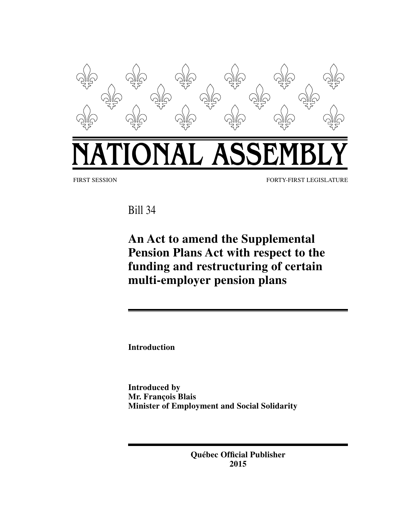

Bill 34

**An Act to amend the Supplemental Pension Plans Act with respect to the funding and restructuring of certain multi-employer pension plans**

**Introduction**

**Introduced by Mr. François Blais Minister of Employment and Social Solidarity**

> **Québec Official Publisher 2015**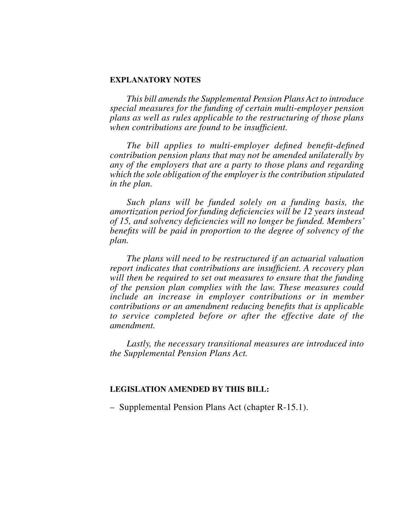#### **EXPLANATORY NOTES**

*This bill amends the Supplemental Pension Plans Act to introduce special measures for the funding of certain multi-employer pension plans as well as rules applicable to the restructuring of those plans when contributions are found to be insufficient.*

*The bill applies to multi-employer defined benefit-defined contribution pension plans that may not be amended unilaterally by any of the employers that are a party to those plans and regarding which the sole obligation of the employer is the contribution stipulated in the plan.*

*Such plans will be funded solely on a funding basis, the amortization period for funding deficiencies will be 12 years instead of 15, and solvency deficiencies will no longer be funded. Members' benefits will be paid in proportion to the degree of solvency of the plan.*

*The plans will need to be restructured if an actuarial valuation report indicates that contributions are insufficient. A recovery plan will then be required to set out measures to ensure that the funding of the pension plan complies with the law. These measures could include an increase in employer contributions or in member contributions or an amendment reducing benefits that is applicable to service completed before or after the effective date of the amendment.*

*Lastly, the necessary transitional measures are introduced into the Supplemental Pension Plans Act.*

#### **LEGISLATION AMENDED BY THIS BILL:**

– Supplemental Pension Plans Act (chapter R‑15.1).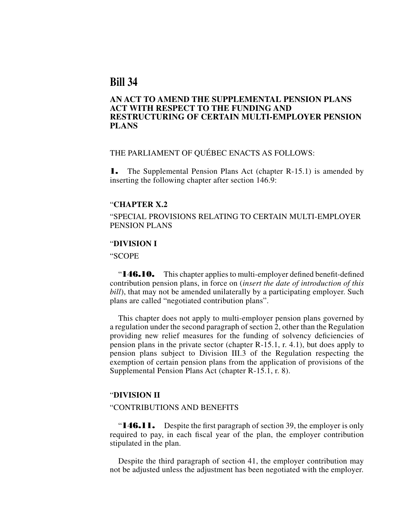# **Bill 34**

# **AN ACT TO AMEND THE SUPPLEMENTAL PENSION PLANS ACT WITH RESPECT TO THE FUNDING AND RESTRUCTURING OF CERTAIN MULTI-EMPLOYER PENSION PLANS**

# THE PARLIAMENT OF QUÉBEC ENACTS AS FOLLOWS:

1. The Supplemental Pension Plans Act (chapter R–15.1) is amended by inserting the following chapter after section 146.9:

#### "**CHAPTER X.2**

"SPECIAL PROVISIONS RELATING TO CERTAIN MULTI EMPLOYER PENSION PLANS

## "**DIVISION I**

"SCOPE

"**146.10.** This chapter applies to multi-employer defined benefit-defined contribution pension plans, in force on (*insert the date of introduction of this bill*), that may not be amended unilaterally by a participating employer. Such plans are called "negotiated contribution plans".

This chapter does not apply to multi employer pension plans governed by a regulation under the second paragraph of section 2, other than the Regulation providing new relief measures for the funding of solvency deficiencies of pension plans in the private sector (chapter R-15.1, r. 4.1), but does apply to pension plans subject to Division III.3 of the Regulation respecting the exemption of certain pension plans from the application of provisions of the Supplemental Pension Plans Act (chapter R-15.1, r. 8).

#### "**DIVISION II**

### "CONTRIBUTIONS AND BENEFITS

" $146.11.$  Despite the first paragraph of section 39, the employer is only required to pay, in each fiscal year of the plan, the employer contribution stipulated in the plan.

Despite the third paragraph of section 41, the employer contribution may not be adjusted unless the adjustment has been negotiated with the employer.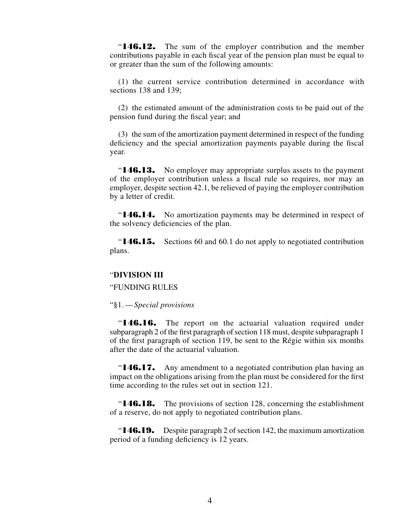"**146.12.** The sum of the employer contribution and the member contributions payable in each fiscal year of the pension plan must be equal to or greater than the sum of the following amounts:

(1) the current service contribution determined in accordance with sections 138 and 139;

(2) the estimated amount of the administration costs to be paid out of the pension fund during the fiscal year; and

(3) the sum of the amortization payment determined in respect of the funding deficiency and the special amortization payments payable during the fiscal year.

"**146.13.** No employer may appropriate surplus assets to the payment of the employer contribution unless a fiscal rule so requires, nor may an employer, despite section 42.1, be relieved of paying the employer contribution by a letter of credit.

"**146.14.** No amortization payments may be determined in respect of the solvency deficiencies of the plan.

"**146.15.** Sections 60 and 60.1 do not apply to negotiated contribution plans.

### "**DIVISION III**

#### "FUNDING RULES

"§1.—*Special provisions*

"**146.16.** The report on the actuarial valuation required under subparagraph 2 of the first paragraph of section 118 must, despite subparagraph 1 of the first paragraph of section 119, be sent to the Régie within six months after the date of the actuarial valuation.

**"146.17.** Any amendment to a negotiated contribution plan having an impact on the obligations arising from the plan must be considered for the first time according to the rules set out in section 121.

"**146.18.** The provisions of section 128, concerning the establishment of a reserve, do not apply to negotiated contribution plans.

"**146.19.** Despite paragraph 2 of section 142, the maximum amortization period of a funding deficiency is 12 years.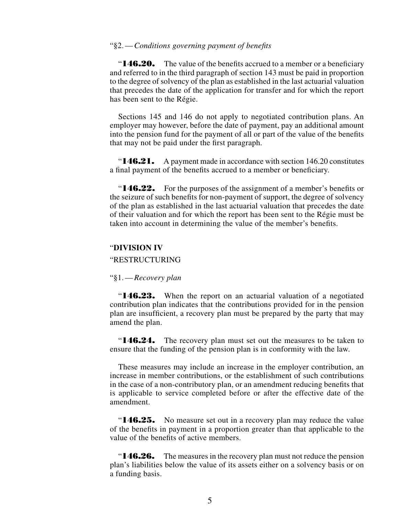## "§2.—*Conditions governing payment of benefits*

" $146.20.$  The value of the benefits accrued to a member or a beneficiary and referred to in the third paragraph of section 143 must be paid in proportion to the degree of solvency of the plan as established in the last actuarial valuation that precedes the date of the application for transfer and for which the report has been sent to the Régie.

Sections 145 and 146 do not apply to negotiated contribution plans. An employer may however, before the date of payment, pay an additional amount into the pension fund for the payment of all or part of the value of the benefits that may not be paid under the first paragraph.

"**146.21.** A payment made in accordance with section 146.20 constitutes a final payment of the benefits accrued to a member or beneficiary.

"**146.22.** For the purposes of the assignment of a member's benefits or the seizure of such benefits for non-payment of support, the degree of solvency of the plan as established in the last actuarial valuation that precedes the date of their valuation and for which the report has been sent to the Régie must be taken into account in determining the value of the member's benefits.

### "**DIVISION IV**

"RESTRUCTURING

#### "§1.—*Recovery plan*

"**146.23.** When the report on an actuarial valuation of a negotiated contribution plan indicates that the contributions provided for in the pension plan are insufficient, a recovery plan must be prepared by the party that may amend the plan.

"**146.24.** The recovery plan must set out the measures to be taken to ensure that the funding of the pension plan is in conformity with the law.

These measures may include an increase in the employer contribution, an increase in member contributions, or the establishment of such contributions in the case of a non-contributory plan, or an amendment reducing benefits that is applicable to service completed before or after the effective date of the amendment.

"146.25. No measure set out in a recovery plan may reduce the value of the benefits in payment in a proportion greater than that applicable to the value of the benefits of active members.

" $146.26$ . The measures in the recovery plan must not reduce the pension plan's liabilities below the value of its assets either on a solvency basis or on a funding basis.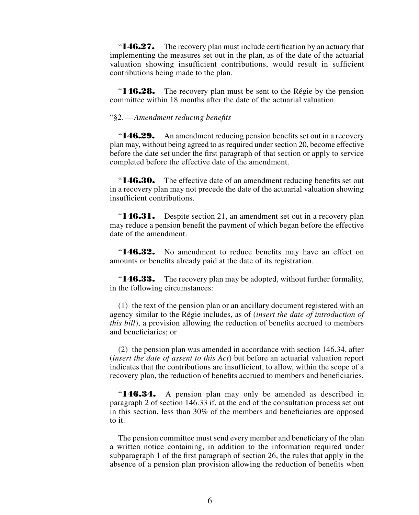" $146.27.$  The recovery plan must include certification by an actuary that implementing the measures set out in the plan, as of the date of the actuarial valuation showing insufficient contributions, would result in sufficient contributions being made to the plan.

" $146.28$ . The recovery plan must be sent to the Régie by the pension committee within 18 months after the date of the actuarial valuation.

### "§2.—*Amendment reducing benefits*

"**146.29.** An amendment reducing pension benefits set out in a recovery plan may, without being agreed to as required under section 20, become effective before the date set under the first paragraph of that section or apply to service completed before the effective date of the amendment.

"**146.30.** The effective date of an amendment reducing benefits set out in a recovery plan may not precede the date of the actuarial valuation showing insufficient contributions.

" $146.31.$  Despite section 21, an amendment set out in a recovery plan may reduce a pension benefit the payment of which began before the effective date of the amendment.

"**146.32.** No amendment to reduce benefits may have an effect on amounts or benefits already paid at the date of its registration.

"**146.33.** The recovery plan may be adopted, without further formality, in the following circumstances:

(1) the text of the pension plan or an ancillary document registered with an agency similar to the Régie includes, as of (*insert the date of introduction of this bill*), a provision allowing the reduction of benefits accrued to members and beneficiaries; or

(2) the pension plan was amended in accordance with section 146.34, after (*insert the date of assent to this Act*) but before an actuarial valuation report indicates that the contributions are insufficient, to allow, within the scope of a recovery plan, the reduction of benefits accrued to members and beneficiaries.

"**146.34.** A pension plan may only be amended as described in paragraph 2 of section 146.33 if, at the end of the consultation process set out in this section, less than 30% of the members and beneficiaries are opposed to it.

The pension committee must send every member and beneficiary of the plan a written notice containing, in addition to the information required under subparagraph 1 of the first paragraph of section 26, the rules that apply in the absence of a pension plan provision allowing the reduction of benefits when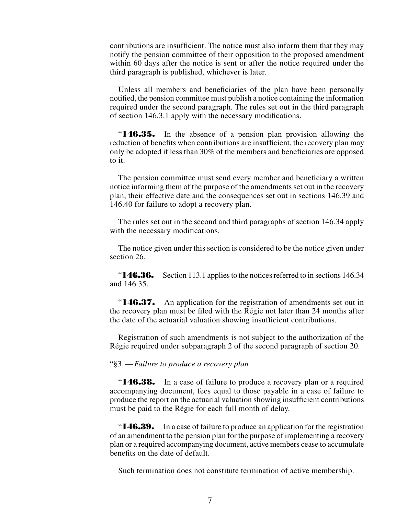contributions are insufficient. The notice must also inform them that they may notify the pension committee of their opposition to the proposed amendment within 60 days after the notice is sent or after the notice required under the third paragraph is published, whichever is later.

Unless all members and beneficiaries of the plan have been personally notified, the pension committee must publish a notice containing the information required under the second paragraph. The rules set out in the third paragraph of section 146.3.1 apply with the necessary modifications.

"146.35. In the absence of a pension plan provision allowing the reduction of benefits when contributions are insufficient, the recovery plan may only be adopted if less than 30% of the members and beneficiaries are opposed to it.

The pension committee must send every member and beneficiary a written notice informing them of the purpose of the amendments set out in the recovery plan, their effective date and the consequences set out in sections 146.39 and 146.40 for failure to adopt a recovery plan.

The rules set out in the second and third paragraphs of section 146.34 apply with the necessary modifications.

The notice given under this section is considered to be the notice given under section 26.

"**146.36.** Section 113.1 applies to the notices referred to in sections 146.34 and 146.35.

" $146.37.$  An application for the registration of amendments set out in the recovery plan must be filed with the Régie not later than 24 months after the date of the actuarial valuation showing insufficient contributions.

Registration of such amendments is not subject to the authorization of the Régie required under subparagraph 2 of the second paragraph of section 20.

#### "§3.—*Failure to produce a recovery plan*

"**146.38.** In a case of failure to produce a recovery plan or a required accompanying document, fees equal to those payable in a case of failure to produce the report on the actuarial valuation showing insufficient contributions must be paid to the Régie for each full month of delay.

"**146.39.** In a case of failure to produce an application for the registration of an amendment to the pension plan for the purpose of implementing a recovery plan or a required accompanying document, active members cease to accumulate benefits on the date of default.

Such termination does not constitute termination of active membership.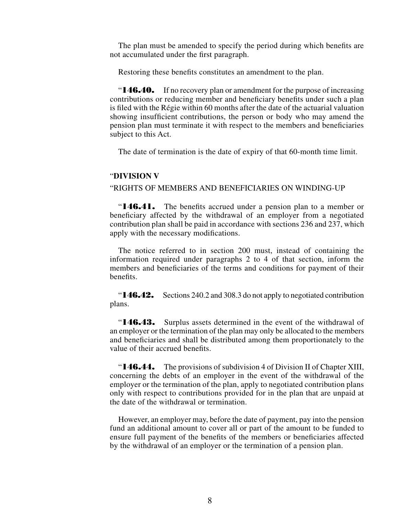The plan must be amended to specify the period during which benefits are not accumulated under the first paragraph.

Restoring these benefits constitutes an amendment to the plan.

" $146.40.$  If no recovery plan or amendment for the purpose of increasing contributions or reducing member and beneficiary benefits under such a plan is filed with the Régie within 60 months after the date of the actuarial valuation showing insufficient contributions, the person or body who may amend the pension plan must terminate it with respect to the members and beneficiaries subject to this Act.

The date of termination is the date of expiry of that 60-month time limit.

#### "**DIVISION V**

"RIGHTS OF MEMBERS AND BENEFICIARIES ON WINDING-UP

"**146.41.** The benefits accrued under a pension plan to a member or beneficiary affected by the withdrawal of an employer from a negotiated contribution plan shall be paid in accordance with sections 236 and 237, which apply with the necessary modifications.

The notice referred to in section 200 must, instead of containing the information required under paragraphs 2 to 4 of that section, inform the members and beneficiaries of the terms and conditions for payment of their benefits.

"**146.42.** Sections 240.2 and 308.3 do not apply to negotiated contribution plans.

"146.43. Surplus assets determined in the event of the withdrawal of an employer or the termination of the plan may only be allocated to the members and beneficiaries and shall be distributed among them proportionately to the value of their accrued benefits.

"**146.44.** The provisions of subdivision 4 of Division II of Chapter XIII, concerning the debts of an employer in the event of the withdrawal of the employer or the termination of the plan, apply to negotiated contribution plans only with respect to contributions provided for in the plan that are unpaid at the date of the withdrawal or termination.

However, an employer may, before the date of payment, pay into the pension fund an additional amount to cover all or part of the amount to be funded to ensure full payment of the benefits of the members or beneficiaries affected by the withdrawal of an employer or the termination of a pension plan.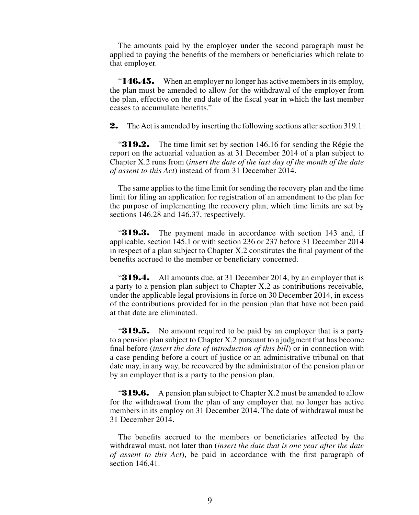The amounts paid by the employer under the second paragraph must be applied to paying the benefits of the members or beneficiaries which relate to that employer.

"**146.45.** When an employer no longer has active members in its employ, the plan must be amended to allow for the withdrawal of the employer from the plan, effective on the end date of the fiscal year in which the last member ceases to accumulate benefits."

**2.** The Act is amended by inserting the following sections after section 319.1:

"319.2. The time limit set by section 146.16 for sending the Régie the report on the actuarial valuation as at 31 December 2014 of a plan subject to Chapter X.2 runs from (*insert the date of the last day of the month of the date of assent to this Act*) instead of from 31 December 2014.

The same applies to the time limit for sending the recovery plan and the time limit for filing an application for registration of an amendment to the plan for the purpose of implementing the recovery plan, which time limits are set by sections 146.28 and 146.37, respectively.

**319.3.** The payment made in accordance with section 143 and, if applicable, section 145.1 or with section 236 or 237 before 31 December 2014 in respect of a plan subject to Chapter X.2 constitutes the final payment of the benefits accrued to the member or beneficiary concerned.

**319.4.** All amounts due, at 31 December 2014, by an employer that is a party to a pension plan subject to Chapter X.2 as contributions receivable, under the applicable legal provisions in force on 30 December 2014, in excess of the contributions provided for in the pension plan that have not been paid at that date are eliminated.

"319.5. No amount required to be paid by an employer that is a party to a pension plan subject to Chapter X.2 pursuant to a judgment that has become final before (*insert the date of introduction of this bill*) or in connection with a case pending before a court of justice or an administrative tribunal on that date may, in any way, be recovered by the administrator of the pension plan or by an employer that is a party to the pension plan.

"319.6. A pension plan subject to Chapter X.2 must be amended to allow for the withdrawal from the plan of any employer that no longer has active members in its employ on 31 December 2014. The date of withdrawal must be 31 December 2014.

The benefits accrued to the members or beneficiaries affected by the withdrawal must, not later than (*insert the date that is one year after the date of assent to this Act*), be paid in accordance with the first paragraph of section 146.41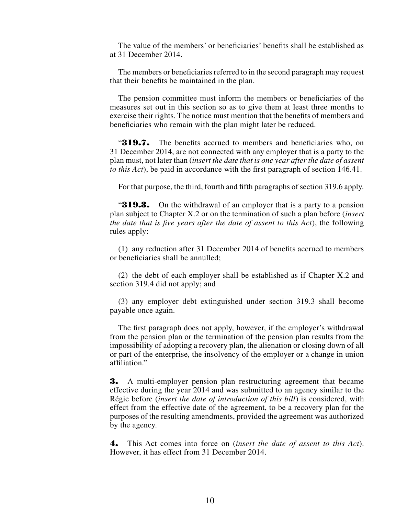The value of the members' or beneficiaries' benefits shall be established as at 31 December 2014.

The members or beneficiaries referred to in the second paragraph may request that their benefits be maintained in the plan.

The pension committee must inform the members or beneficiaries of the measures set out in this section so as to give them at least three months to exercise their rights. The notice must mention that the benefits of members and beneficiaries who remain with the plan might later be reduced.

"319.7. The benefits accrued to members and beneficiaries who, on 31 December 2014, are not connected with any employer that is a party to the plan must, not later than (*insert the date that is one year after the date of assent to this Act*), be paid in accordance with the first paragraph of section 146.41.

For that purpose, the third, fourth and fifth paragraphs of section 319.6 apply.

**319.8.** On the withdrawal of an employer that is a party to a pension plan subject to Chapter X.2 or on the termination of such a plan before (*insert the date that is five years after the date of assent to this Act*), the following rules apply:

(1) any reduction after 31 December 2014 of benefits accrued to members or beneficiaries shall be annulled;

(2) the debt of each employer shall be established as if Chapter X.2 and section 319.4 did not apply; and

(3) any employer debt extinguished under section 319.3 shall become payable once again.

The first paragraph does not apply, however, if the employer's withdrawal from the pension plan or the termination of the pension plan results from the impossibility of adopting a recovery plan, the alienation or closing down of all or part of the enterprise, the insolvency of the employer or a change in union affiliation."

3. A multi-employer pension plan restructuring agreement that became effective during the year 2014 and was submitted to an agency similar to the Régie before (*insert the date of introduction of this bill*) is considered, with effect from the effective date of the agreement, to be a recovery plan for the purposes of the resulting amendments, provided the agreement was authorized by the agency.

4. This Act comes into force on (*insert the date of assent to this Act*). However, it has effect from 31 December 2014.